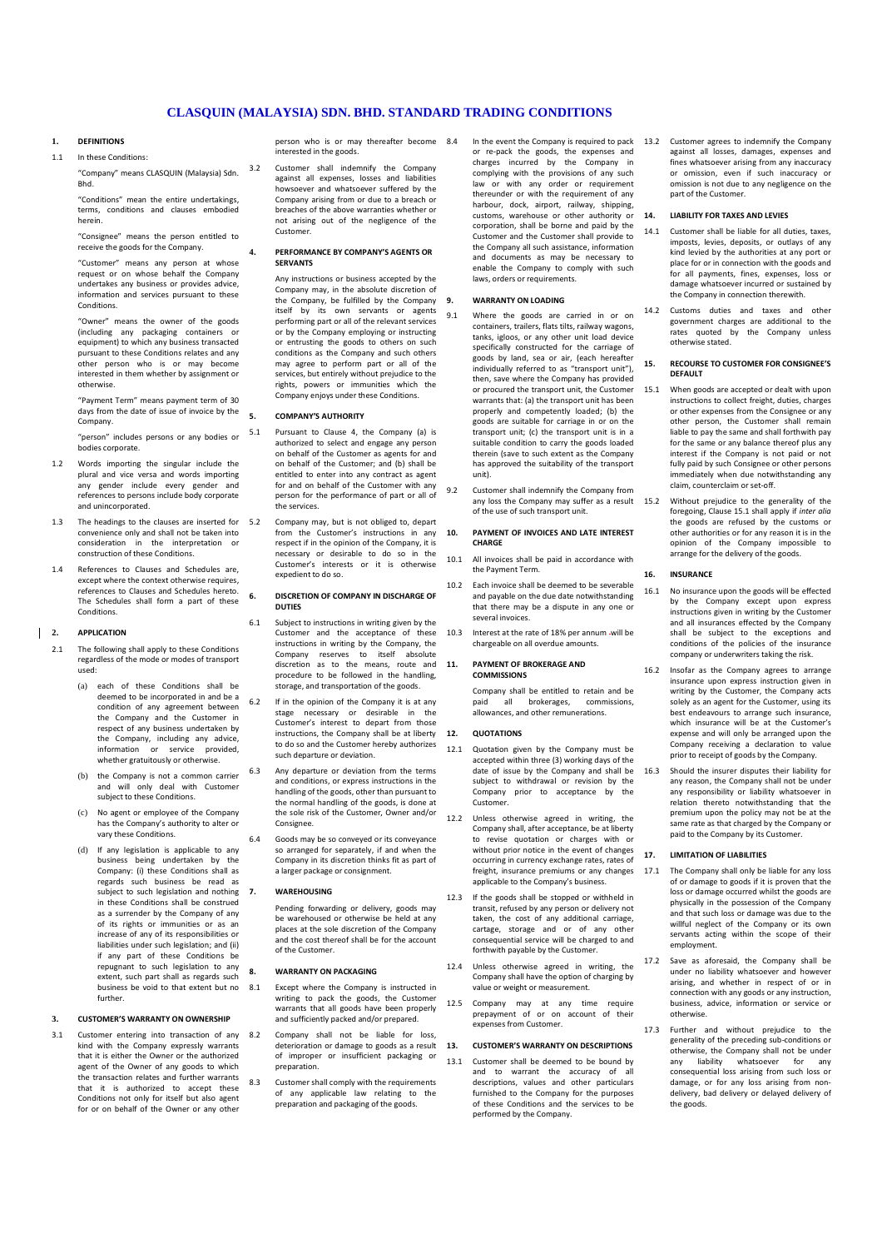# **CLASQUIN (MALAYSIA) SDN. BHD. STANDARD TRADING CONDITIONS**

# **1. DEFINITIONS**

1.1 In these Conditions:

"Company" means CLASQUIN (Malaysia) Sdn. Bhd.

"Conditions" mean the entire undertakings, terms, conditions and clauses embodied herein.

"Consignee" means the person entitled to receive the goods for the Company. "Customer" means any person at whose

request or on whose behalf the Company undertakes any business or provides advice, information and services pursuant to these **Conditions** 

er" means the owner of the goods (including any packaging containers or equipment) to which any business transacted pursuant to these Conditions relates and any other person who is or may become interested in them whether by assignment or otherwise.

"Payment Term" means payment term of 30 days from the date of issue of invoice by the Company.

- "person" includes persons or any bodies or bodies corporate.
- 1.2 Words importing the singular include the plural and vice versa and words importing any gender include every gender and references to persons include body corporate and unincorporated.
- 1.3 The headings to the clauses are inserted for 5.2 convenience only and shall not be taken into consideration in the interpretation or construction of these Conditions.
- 1.4 References to Clauses and Schedules are, except where the context otherwise requires. references to Clauses and Schedules hereto. The Schedules shall form a part of these Conditions.

# **2. APPLICATION**

- 2.1 The following shall apply to these Conditions regardless of the mode or modes of transport used:
	- (a) each of these Conditions shall be deemed to be incorporated in and be a condition of any agreement between the Company and the Customer in respect of any business undertaken by the Company, including any advice, information or service provided, whether gratuitously or otherwise.
	- (b) the Company is not a common carrier and will only deal with Customer subject to these Conditions.
	- (c) No agent or employee of the Company has the Company's authority to alter or vary these Conditions.
	- (d) If any legislation is applicable to any business being undertaken by the Company: (i) these Conditions shall as regards such business be read as subject to such legislation and nothing 7. in these Conditions shall be construed as a surrender by the Company of any of its rights or immunities or as an increase of any of its responsibilities or liabilities under such legislation; and (ii) if any part of these Conditions be repugnant to such legislation to any extent, such part shall as regards such business be void to that extent but no further.

## **3. CUSTOMER'S WARRANTY ON OWNERSHIP**

3.1 Customer entering into transaction of any 8.2 kind with the Company expressly warrants that it is either the Owner or the authorized agent of the Owner of any goods to which the transaction relates and further warrants that it is authorized to accept these Conditions not only for itself but also agent for or on behalf of the Owner or any other

person who is or may thereafter become 8.4 interested in the goods.

3.2 Customer shall indemnify the Company against all expenses, losses and liabilitie howsoever and whatsoever suffered by the Company arising from or due to a breach or breaches of the above warranties whether or not arising out of the negligence of the Customer.

### **4. PERFORMANCE BY COMPANY'S AGENTS OR SERVANTS**

Any instructions or business accepted by the Company may, in the absolute discretion of the Company, be fulfilled by the Company itself by its own servants or agents performing part or all of the relevant services or by the Company employing or instructing or entrusting the goods to others on such conditions as the Company and such others may agree to perform part or all of the ices, but entirely without prejudice to the rights, powers or immunities which the Company enjoys under these Conditions.

## **5. COMPANY'S AUTHORITY**

- 5.1 Pursuant to Clause 4, the Company (a) is authorized to select and engage any person on behalf of the Customer as agents for and on behalf of the Customer; and (b) shall be entitled to enter into any contract as agent for and on behalf of the Customer with any person for the performance of part or all of the services.
	- 5.2 Company may, but is not obliged to, depart from the Customer's instructions in any respect if in the opinion of the Company, it is necessary or desirable to do so in the Customer's interests or it is otherwise expedient to do so.

## **6. DISCRETION OF COMPANY IN DISCHARGE OF DUTIES**

- 6.1 Subject to instructions in writing given by the Customer and the acceptance of these instructions in writing by the Company, the Company reserves to itself absolute discretion as to the means, route and procedure to be followed in the handling, storage, and transportation of the goods.
- 6.2 If in the opinion of the Company it is at any stage necessary or desirable in the Customer's interest to depart from those instructions, the Company shall be at liberty to do so and the Customer hereby authorizes such departure or deviation.
- 6.3 Any departure or deviation from the terms and conditions, or express instructions in the handling of the goods, other than pursuant to the normal handling of the goods, is done at the sole risk of the Customer, Owner and/or **Consignee**
- 6.4 Goods may be so conveyed or its conveyance so arranged for separately, if and when the Company in its discretion thinks fit as part of a larger package or consignment.

#### **WARFHOUSING**

Pending forwarding or delivery, goods may be warehoused or otherwise be held at any places at the sole discretion of the Company and the cost thereof shall be for the account of the Customer.

### **8. WARRANTY ON PACKAGING**

- 8.1 Except where the Company is instructed in writing to pack the goods, the Customer warrants that all goods have been properly and sufficiently packed and/or prepared.
	- 8.2 Company shall not be liable for loss, deterioration or damage to goods as a result of improper or insufficient packaging or preparation.
	- Customer shall comply with the requirements of any applicable law relating to the preparation and packaging of the goods.

In the event the Company is required to pack or re-pack the goods, the expenses and charges incurred by the Company in complying with the provisions of any such law or with any order or requirement thereunder or with the requirement of any harbour, dock, airport, railway, shipping, customs, warehouse or other authority or corporation, shall be borne and paid by the Customer and the Customer shall provide to the Company all such assistance, information and documents as may be necessary to enable the Company to comply with such laws, orders or requirements.

# **9. WARRANTY ON LOADING**

- 9.1 Where the goods are carried in or on containers, trailers, flats tilts, railway wagons, tanks, igloos, or any other unit load device specifically constructed for the carriage of goods by land, sea or air, (each hereafter individually referred to as "transport unit"), then, save where the Company has provided or procured the transport unit, the Customer warrants that: (a) the transport unit has been properly and competently loaded; (b) the goods are suitable for carriage in or on the transport unit; (c) the transport unit is in a suitable condition to carry the goods loaded therein (save to such extent as the Company has approved the suitability of the transport unit).
- 9.2 Customer shall indemnify the Company from any loss the Company may suffer as a result of the use of such transport unit.

#### **10. PAYMENT OF INVOICES AND LATE INTEREST CHARGE**

- 10.1 All invoices shall be paid in accordance with the Payment Term.
- 10.2 Each invoice shall be deemed to be severable and payable on the due date notwithstanding that there may be a dispute in any one or several invoices.
- 10.3 Interest at the rate of 18% per annum -will be chargeable on all overdue amounts.

## **11. PAYMENT OF BROKERAGE AND COMMISSIONS**

Company shall be entitled to retain and be paid all brokerages, commissions, allowances, and other remunerations.

## **12. QUOTATIONS**

- 12.1 Quotation given by the Company must be accepted within three (3) working days of the date of issue by the Company and shall be subject to withdrawal or revision by the Company prior to acceptance by the Customer.
- 12.2 Unless otherwise agreed in writing, the Company shall, after acceptance, be at liberty to revise quotation or charges with or without prior notice in the event of changes occurring in currency exchange rates, rates of freight, insurance premiums or any changes applicable to the Company's business.
- 12.3 If the goods shall be stopped or withheld in transit, refused by any person or delivery not taken, the cost of any additional carriage, cartage, storage and or of any other consequential service will be charged to and forthwith payable by the Customer.
- Unless otherwise agreed in writing, the Company shall have the option of charging by value or weight or measurement.
- 12.5 Company may at any time require prepayment of or on account of their .<br>expenses from Customer.

## **13. CUSTOMER'S WARRANTY ON DESCRIPTIONS**

13.1 Customer shall be deemed to be bound by and to warrant the accuracy of all descriptions, values and other particulars furnished to the Company for the purposes of these Conditions and the services to be performed by the Company.

13.2 Customer agrees to indemnify the Company against all losses, damages, expenses and fines whatsoever arising from any inaccuracy or omission, even if such inaccuracy or omission is not due to any negligence on the part of the Customer.

#### **14. LIABILITY FOR TAXES AND LEVIES**

- 14.1 Customer shall be liable for all duties, taxes imposts, levies, deposits, or outlays of any kind levied by the authorities at any port or place for or in connection with the goods and for all payments, fines, expenses, loss or damage whatsoever incurred or sustained by the Company in connection therewith.
- 14.2 Customs duties and taxes and other government charges are additional to the rates quoted by the Company unless otherwise stated.

### **15. RECOURSE TO CUSTOMER FOR CONSIGNEE'S DEFAULT**

- 15.1 When goods are accepted or dealt with upon instructions to collect freight, duties, charges or other expenses from the Consignee or any other person, the Customer shall remain liable to pay the same and shall forthwith pay for the same or any balance thereof plus any interest if the Company is not paid or not fully paid by such Consignee or other persons immediately when due notwithstanding any claim, counterclaim or set-off.
	- Without prejudice to the generality of the foregoing, Clause 15.1 shall apply if *inter alia* the goods are refused by the customs or other authorities or for any reason it is in the opinion of the Company impossible to arrange for the delivery of the goods.

## **16. INSURANCE**

- 16.1 No insurance upon the goods will be effected by the Company except upon express instructions given in writing by the Customer and all insurances effected by the Company shall be subject to the exceptions and conditions of the policies of the insurance company or underwriters taking the risk.
- 16.2 Insofar as the Company agrees to arrange insurance upon express instruction given in writing by the Customer, the Company acts solely as an agent for the Customer, using its best endeavours to arrange such insurance, which insurance will be at the Customer's expense and will only be arranged upon the Company receiving a declaration to value prior to receipt of goods by the Company.
- 16.3 Should the insurer disputes their liability for any reason, the Company shall not be under any responsibility or liability whatsoever in relation thereto notwithstanding that the premium upon the policy may not be at the .<br>same rate as that charged by the Company or paid to the Company by its Customer.

### **17. LIMITATION OF LIABILITIES**

- 17.1 The Company shall only be liable for any loss of or damage to goods if it is proven that the loss or damage occurred whilst the goods are physically in the possession of the Company and that such loss or damage was due to the willful neglect of the Company or its own servants acting within the scope of their employment.
	- Save as aforesaid, the Company shall be under no liability whatsoever and however arising, and whether in respect of or in connection with any goods or any instruction, business, advice, information or service or otherwise.
- 17.3 Further and without prejudice to the generality of the preceding sub-conditions or otherwise, the Company shall not be under any liability whatsoever for any consequential loss arising from such loss or damage, or for any loss arising from nondelivery, bad delivery or delayed delivery of the goods.